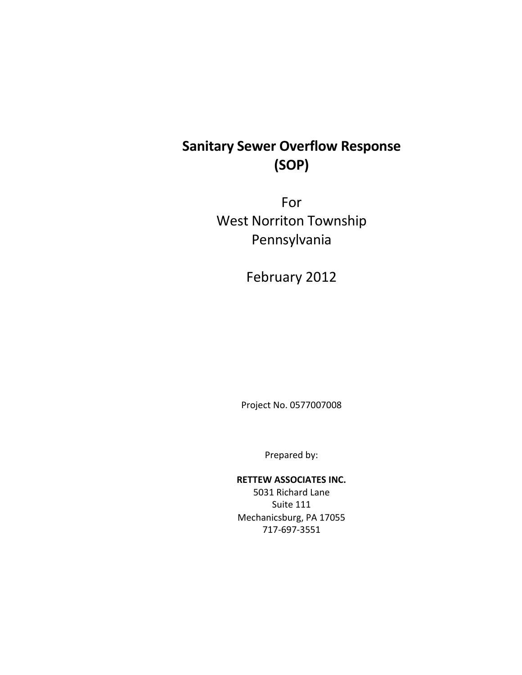# **Sanitary Sewer Overflow Response (SOP)**

For West Norriton Township Pennsylvania

February 2012

Project No. 0577007008

Prepared by:

#### **RETTEW ASSOCIATES INC.**

5031 Richard Lane Suite 111 Mechanicsburg, PA 17055 717-697-3551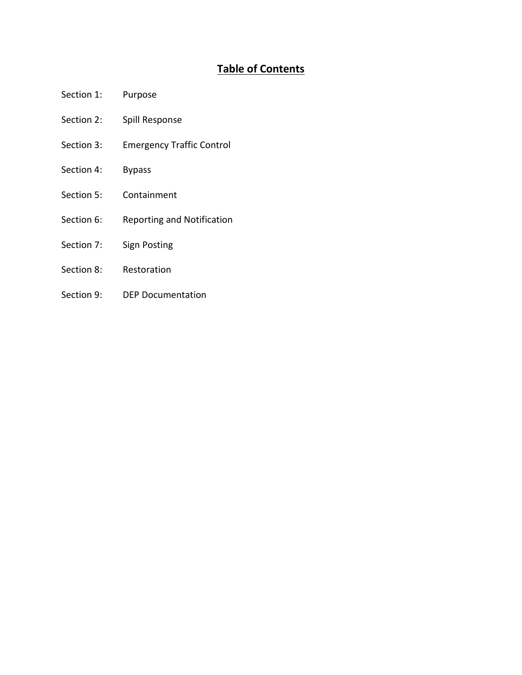# **Table of Contents**

- Section 1: Purpose
- Section 2: Spill Response
- Section 3: Emergency Traffic Control
- Section 4: Bypass
- Section 5: Containment
- Section 6: Reporting and Notification
- Section 7: Sign Posting
- Section 8: Restoration
- Section 9: DEP Documentation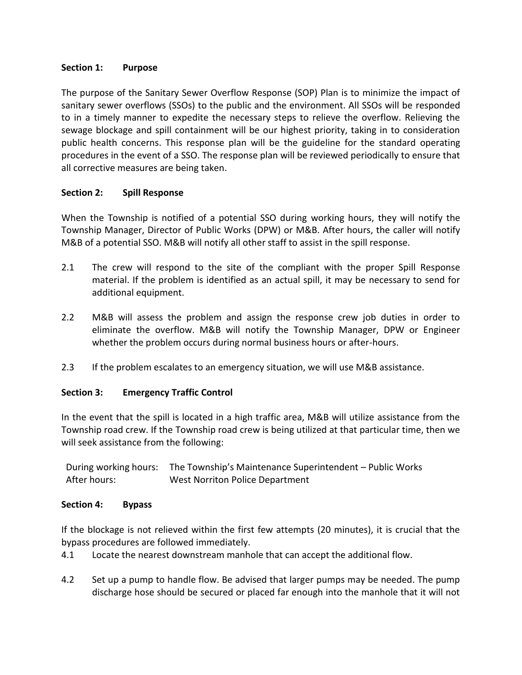# **Section 1: Purpose**

The purpose of the Sanitary Sewer Overflow Response (SOP) Plan is to minimize the impact of sanitary sewer overflows (SSOs) to the public and the environment. All SSOs will be responded to in a timely manner to expedite the necessary steps to relieve the overflow. Relieving the sewage blockage and spill containment will be our highest priority, taking in to consideration public health concerns. This response plan will be the guideline for the standard operating procedures in the event of a SSO. The response plan will be reviewed periodically to ensure that all corrective measures are being taken.

# **Section 2: Spill Response**

When the Township is notified of a potential SSO during working hours, they will notify the Township Manager, Director of Public Works (DPW) or M&B. After hours, the caller will notify M&B of a potential SSO. M&B will notify all other staff to assist in the spill response.

- 2.1 The crew will respond to the site of the compliant with the proper Spill Response material. If the problem is identified as an actual spill, it may be necessary to send for additional equipment.
- 2.2 M&B will assess the problem and assign the response crew job duties in order to eliminate the overflow. M&B will notify the Township Manager, DPW or Engineer whether the problem occurs during normal business hours or after-hours.
- 2.3 If the problem escalates to an emergency situation, we will use M&B assistance.

# **Section 3: Emergency Traffic Control**

In the event that the spill is located in a high traffic area, M&B will utilize assistance from the Township road crew. If the Township road crew is being utilized at that particular time, then we will seek assistance from the following:

| During working hours: | The Township's Maintenance Superintendent – Public Works |
|-----------------------|----------------------------------------------------------|
| After hours:          | West Norriton Police Department                          |

#### **Section 4: Bypass**

If the blockage is not relieved within the first few attempts (20 minutes), it is crucial that the bypass procedures are followed immediately.

4.1 Locate the nearest downstream manhole that can accept the additional flow.

4.2 Set up a pump to handle flow. Be advised that larger pumps may be needed. The pump discharge hose should be secured or placed far enough into the manhole that it will not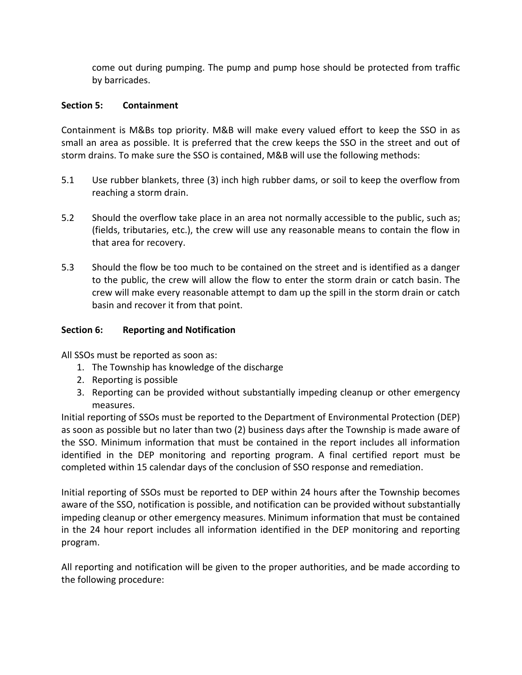come out during pumping. The pump and pump hose should be protected from traffic by barricades.

# **Section 5: Containment**

Containment is M&Bs top priority. M&B will make every valued effort to keep the SSO in as small an area as possible. It is preferred that the crew keeps the SSO in the street and out of storm drains. To make sure the SSO is contained, M&B will use the following methods:

- 5.1 Use rubber blankets, three (3) inch high rubber dams, or soil to keep the overflow from reaching a storm drain.
- 5.2 Should the overflow take place in an area not normally accessible to the public, such as; (fields, tributaries, etc.), the crew will use any reasonable means to contain the flow in that area for recovery.
- 5.3 Should the flow be too much to be contained on the street and is identified as a danger to the public, the crew will allow the flow to enter the storm drain or catch basin. The crew will make every reasonable attempt to dam up the spill in the storm drain or catch basin and recover it from that point.

# **Section 6: Reporting and Notification**

All SSOs must be reported as soon as:

- 1. The Township has knowledge of the discharge
- 2. Reporting is possible
- 3. Reporting can be provided without substantially impeding cleanup or other emergency measures.

Initial reporting of SSOs must be reported to the Department of Environmental Protection (DEP) as soon as possible but no later than two (2) business days after the Township is made aware of the SSO. Minimum information that must be contained in the report includes all information identified in the DEP monitoring and reporting program. A final certified report must be completed within 15 calendar days of the conclusion of SSO response and remediation.

Initial reporting of SSOs must be reported to DEP within 24 hours after the Township becomes aware of the SSO, notification is possible, and notification can be provided without substantially impeding cleanup or other emergency measures. Minimum information that must be contained in the 24 hour report includes all information identified in the DEP monitoring and reporting program.

All reporting and notification will be given to the proper authorities, and be made according to the following procedure: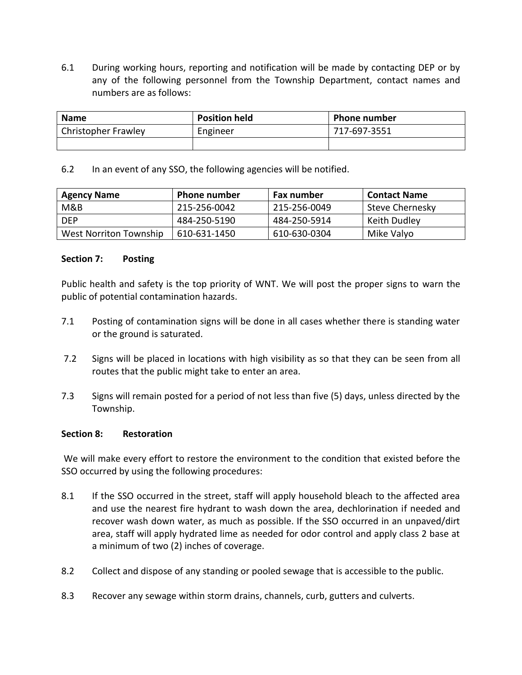6.1 During working hours, reporting and notification will be made by contacting DEP or by any of the following personnel from the Township Department, contact names and numbers are as follows:

| <b>Name</b>                | <b>Position held</b> | <b>Phone number</b> |  |
|----------------------------|----------------------|---------------------|--|
| <b>Christopher Frawley</b> | Engineer             | 717-697-3551        |  |
|                            |                      |                     |  |

6.2 In an event of any SSO, the following agencies will be notified.

| <b>Agency Name</b>     | <b>Phone number</b> | <b>Fax number</b> | <b>Contact Name</b> |
|------------------------|---------------------|-------------------|---------------------|
| M&B                    | 215-256-0042        | 215-256-0049      | Steve Chernesky     |
| <b>DFP</b>             | 484-250-5190        | 484-250-5914      | Keith Dudley        |
| West Norriton Township | 610-631-1450        | 610-630-0304      | Mike Valyo          |

#### **Section 7: Posting**

Public health and safety is the top priority of WNT. We will post the proper signs to warn the public of potential contamination hazards.

- 7.1 Posting of contamination signs will be done in all cases whether there is standing water or the ground is saturated.
- 7.2 Signs will be placed in locations with high visibility as so that they can be seen from all routes that the public might take to enter an area.
- 7.3 Signs will remain posted for a period of not less than five (5) days, unless directed by the Township.

#### **Section 8: Restoration**

We will make every effort to restore the environment to the condition that existed before the SSO occurred by using the following procedures:

- 8.1 If the SSO occurred in the street, staff will apply household bleach to the affected area and use the nearest fire hydrant to wash down the area, dechlorination if needed and recover wash down water, as much as possible. If the SSO occurred in an unpaved/dirt area, staff will apply hydrated lime as needed for odor control and apply class 2 base at a minimum of two (2) inches of coverage.
- 8.2 Collect and dispose of any standing or pooled sewage that is accessible to the public.
- 8.3 Recover any sewage within storm drains, channels, curb, gutters and culverts.